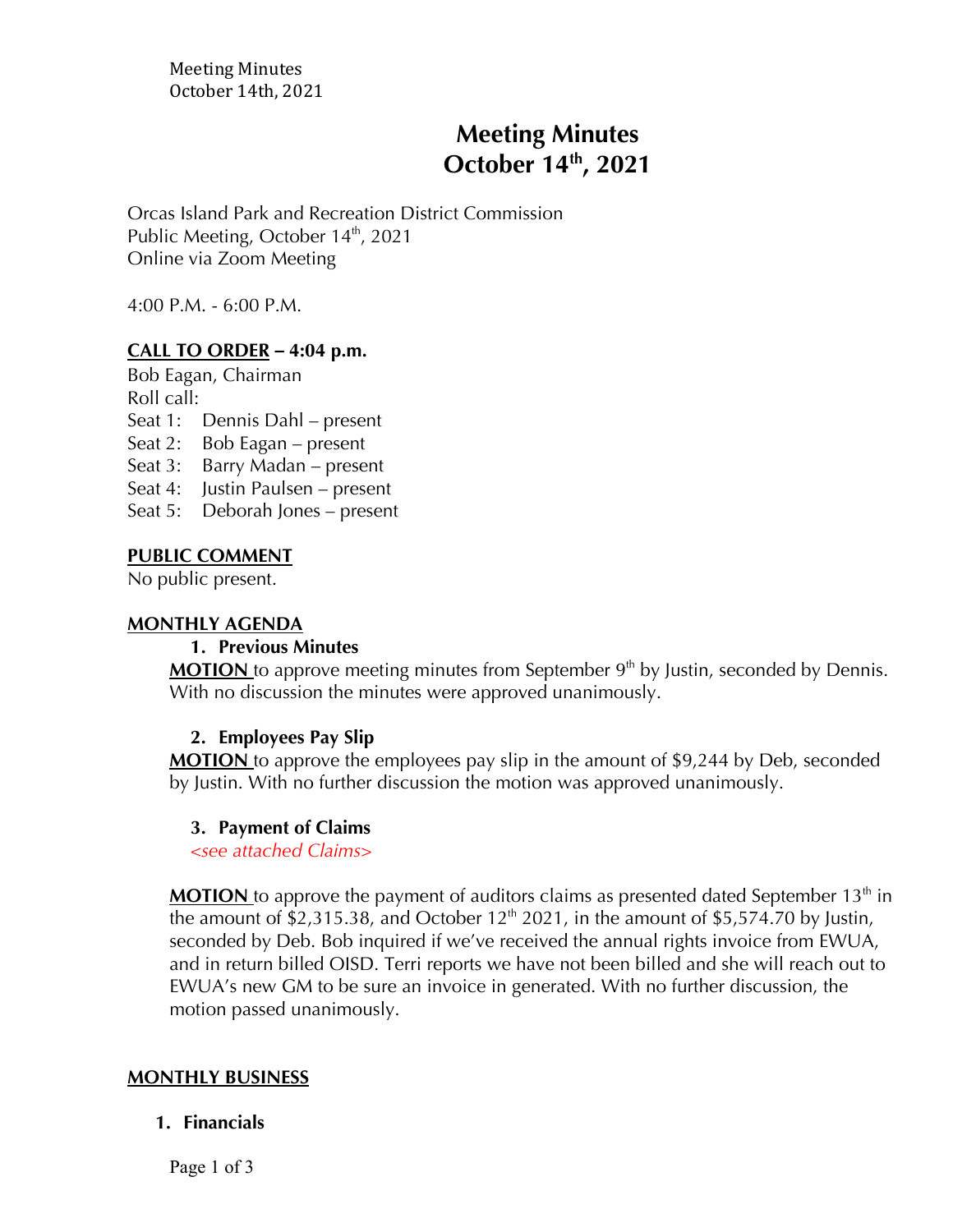Meeting Minutes October 14th, 2021

# **Meeting Minutes October 14th , 2021**

Orcas Island Park and Recreation District Commission Public Meeting, October  $14<sup>th</sup>$ , 2021 Online via Zoom Meeting

4:00 P.M. - 6:00 P.M.

### **CALL TO ORDER** *–* **4:04 p.m.**

Bob Eagan, Chairman Roll call:

Seat 1: Dennis Dahl – present

Seat 2: Bob Eagan – present

Seat 3: Barry Madan – present

Seat 4: Justin Paulsen – present

Seat 5: Deborah Jones – present

#### **PUBLIC COMMENT**

No public present.

#### **MONTHLY AGENDA**

#### **1. Previous Minutes**

**MOTION** to approve meeting minutes from September 9<sup>th</sup> by Justin, seconded by Dennis. With no discussion the minutes were approved unanimously.

#### **2. Employees Pay Slip**

**MOTION** to approve the employees pay slip in the amount of \$9,244 by Deb, seconded by Justin. With no further discussion the motion was approved unanimously.

#### **3. Payment of Claims**

*<see attached Claims>*

**MOTION** to approve the payment of auditors claims as presented dated September 13<sup>th</sup> in the amount of  $$2,315.38$ , and October 12<sup>th</sup> 2021, in the amount of  $$5,574.70$  by Justin, seconded by Deb. Bob inquired if we've received the annual rights invoice from EWUA, and in return billed OISD. Terri reports we have not been billed and she will reach out to EWUA's new GM to be sure an invoice in generated. With no further discussion, the motion passed unanimously.

#### **MONTHLY BUSINESS**

#### **1. Financials**

Page 1 of 3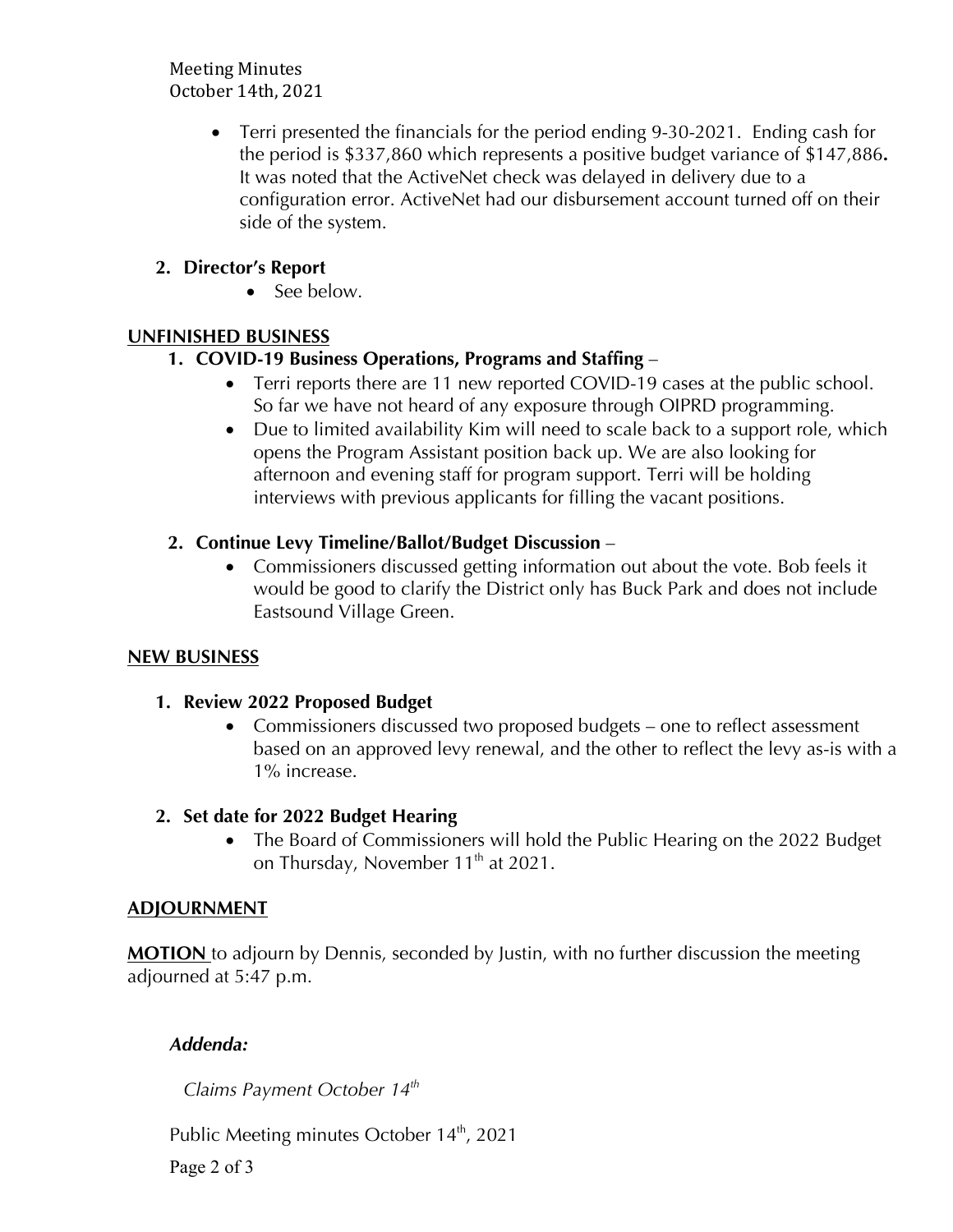Meeting Minutes October 14th, 2021

> • Terri presented the financials for the period ending 9-30-2021. Ending cash for the period is \$337,860 which represents a positive budget variance of \$147,886**.** It was noted that the ActiveNet check was delayed in delivery due to a configuration error. ActiveNet had our disbursement account turned off on their side of the system.

### **2. Director's Report**

• See below.

### **UNFINISHED BUSINESS**

### **1. COVID-19 Business Operations, Programs and Staffing** –

- Terri reports there are 11 new reported COVID-19 cases at the public school. So far we have not heard of any exposure through OIPRD programming.
- Due to limited availability Kim will need to scale back to a support role, which opens the Program Assistant position back up. We are also looking for afternoon and evening staff for program support. Terri will be holding interviews with previous applicants for filling the vacant positions.

# **2. Continue Levy Timeline/Ballot/Budget Discussion** –

• Commissioners discussed getting information out about the vote. Bob feels it would be good to clarify the District only has Buck Park and does not include Eastsound Village Green.

# **NEW BUSINESS**

# **1. Review 2022 Proposed Budget**

• Commissioners discussed two proposed budgets – one to reflect assessment based on an approved levy renewal, and the other to reflect the levy as-is with a 1% increase.

### **2. Set date for 2022 Budget Hearing**

• The Board of Commissioners will hold the Public Hearing on the 2022 Budget on Thursday, November  $11<sup>th</sup>$  at 2021.

### **ADJOURNMENT**

**MOTION** to adjourn by Dennis, seconded by Justin, with no further discussion the meeting adjourned at 5:47 p.m.

# *Addenda:*

*Claims Payment October 14th*

Public Meeting minutes October 14<sup>th</sup>, 2021

Page 2 of 3